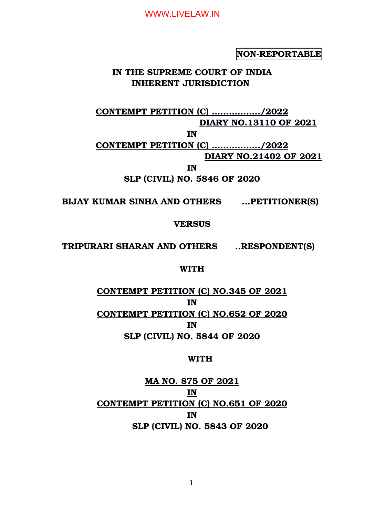**NON-REPORTABLE** 

# **IN THE SUPREME COURT OF INDIA INHERENT JURISDICTION**

**CONTEMPT PETITION (C) ……………../2022 DIARY NO.13110 OF 2021**

**IN**

**CONTEMPT PETITION (C) ……………../2022 DIARY NO.21402 OF 2021**

**IN**

**SLP (CIVIL) NO. 5846 OF 2020**

**BIJAY KUMAR SINHA AND OTHERS ...PETITIONER(S)**

**VERSUS**

**TRIPURARI SHARAN AND OTHERS ..RESPONDENT(S)**

#### **WITH**

**CONTEMPT PETITION (C) NO.345 OF 2021 IN CONTEMPT PETITION (C) NO.652 OF 2020 IN SLP (CIVIL) NO. 5844 OF 2020**

#### **WITH**

**MA NO. 875 OF 2021 IN CONTEMPT PETITION (C) NO.651 OF 2020 IN SLP (CIVIL) NO. 5843 OF 2020**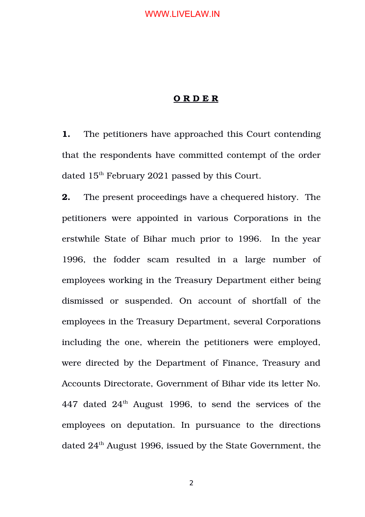#### **O R D E R**

**1.** The petitioners have approached this Court contending that the respondents have committed contempt of the order dated 15<sup>th</sup> February 2021 passed by this Court.

**2.** The present proceedings have a chequered history. The petitioners were appointed in various Corporations in the erstwhile State of Bihar much prior to 1996. In the year 1996, the fodder scam resulted in a large number of employees working in the Treasury Department either being dismissed or suspended. On account of shortfall of the employees in the Treasury Department, several Corporations including the one, wherein the petitioners were employed, were directed by the Department of Finance, Treasury and Accounts Directorate, Government of Bihar vide its letter No. 447 dated  $24<sup>th</sup>$  August 1996, to send the services of the employees on deputation. In pursuance to the directions dated 24<sup>th</sup> August 1996, issued by the State Government, the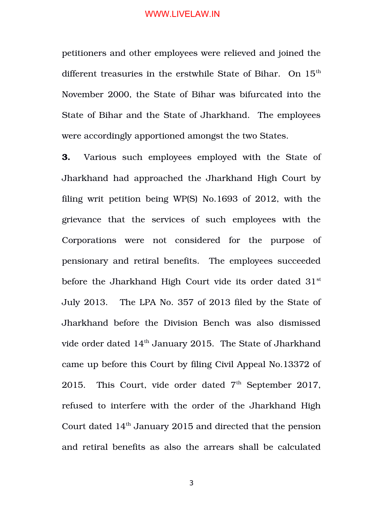petitioners and other employees were relieved and joined the different treasuries in the erstwhile State of Bihar. On 15<sup>th</sup> November 2000, the State of Bihar was bifurcated into the State of Bihar and the State of Jharkhand. The employees were accordingly apportioned amongst the two States.

**3.** Various such employees employed with the State of Jharkhand had approached the Jharkhand High Court by filing writ petition being WP(S) No.1693 of 2012, with the grievance that the services of such employees with the Corporations were not considered for the purpose of pensionary and retiral benefits. The employees succeeded before the Jharkhand High Court vide its order dated  $31<sup>st</sup>$ July 2013. The LPA No. 357 of 2013 filed by the State of Jharkhand before the Division Bench was also dismissed vide order dated 14<sup>th</sup> January 2015. The State of Jharkhand came up before this Court by filing Civil Appeal No.13372 of 2015. This Court, vide order dated  $7<sup>th</sup>$  September 2017, refused to interfere with the order of the Jharkhand High Court dated  $14<sup>th</sup>$  January 2015 and directed that the pension and retiral benefits as also the arrears shall be calculated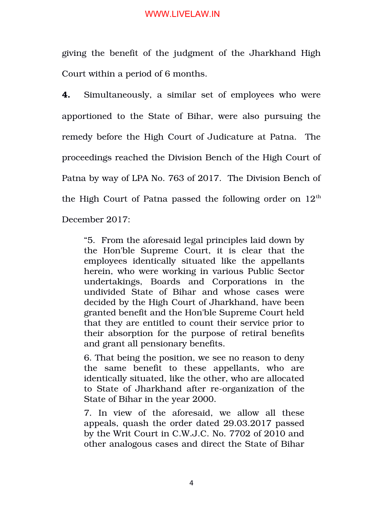giving the benefit of the judgment of the Jharkhand High Court within a period of 6 months.

**4.** Simultaneously, a similar set of employees who were apportioned to the State of Bihar, were also pursuing the remedy before the High Court of Judicature at Patna. The proceedings reached the Division Bench of the High Court of Patna by way of LPA No. 763 of 2017. The Division Bench of the High Court of Patna passed the following order on  $12<sup>th</sup>$ December 2017:

"5. From the aforesaid legal principles laid down by the Hon'ble Supreme Court, it is clear that the employees identically situated like the appellants herein, who were working in various Public Sector undertakings, Boards and Corporations in the undivided State of Bihar and whose cases were decided by the High Court of Jharkhand, have been granted benefit and the Hon'ble Supreme Court held that they are entitled to count their service prior to their absorption for the purpose of retiral benefits and grant all pensionary benefits.

6. That being the position, we see no reason to deny the same benefit to these appellants, who are identically situated, like the other, who are allocated to State of Jharkhand after re-organization of the State of Bihar in the year 2000.

7. In view of the aforesaid, we allow all these appeals, quash the order dated 29.03.2017 passed by the Writ Court in C.W.J.C. No. 7702 of 2010 and other analogous cases and direct the State of Bihar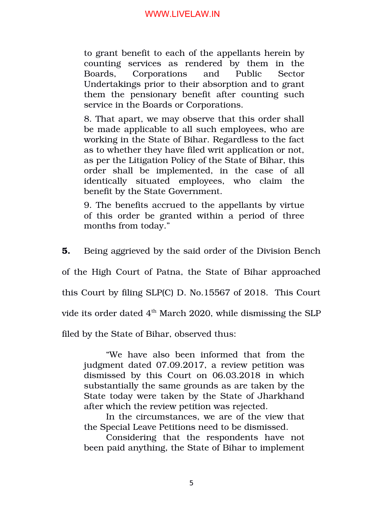to grant benefit to each of the appellants herein by counting services as rendered by them in the Boards, Corporations and Public Sector Undertakings prior to their absorption and to grant them the pensionary benefit after counting such service in the Boards or Corporations.

8. That apart, we may observe that this order shall be made applicable to all such employees, who are working in the State of Bihar. Regardless to the fact as to whether they have filed writ application or not, as per the Litigation Policy of the State of Bihar, this order shall be implemented, in the case of all identically situated employees, who claim the benefit by the State Government.

9. The benefits accrued to the appellants by virtue of this order be granted within a period of three months from today."

**5.** Being aggrieved by the said order of the Division Bench

of the High Court of Patna, the State of Bihar approached

this Court by filing SLP(C) D. No.15567 of 2018. This Court

vide its order dated  $4<sup>th</sup>$  March 2020, while dismissing the SLP

filed by the State of Bihar, observed thus:

"We have also been informed that from the judgment dated 07.09.2017, a review petition was dismissed by this Court on 06.03.2018 in which substantially the same grounds as are taken by the State today were taken by the State of Jharkhand after which the review petition was rejected.

In the circumstances, we are of the view that the Special Leave Petitions need to be dismissed.

Considering that the respondents have not been paid anything, the State of Bihar to implement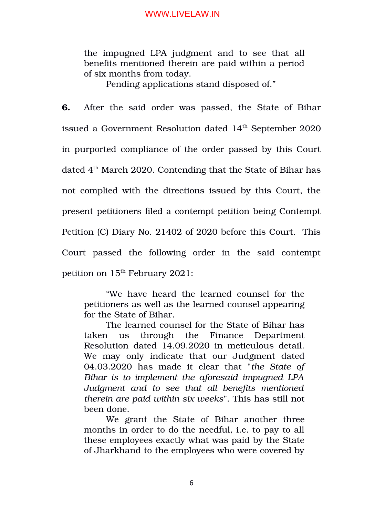the impugned LPA judgment and to see that all benefits mentioned therein are paid within a period of six months from today.

Pending applications stand disposed of."

**6.** After the said order was passed, the State of Bihar issued a Government Resolution dated  $14<sup>th</sup>$  September 2020 in purported compliance of the order passed by this Court dated  $4<sup>th</sup>$  March 2020. Contending that the State of Bihar has not complied with the directions issued by this Court, the present petitioners filed a contempt petition being Contempt Petition (C) Diary No. 21402 of 2020 before this Court. This Court passed the following order in the said contempt petition on  $15<sup>th</sup>$  February 2021:

"We have heard the learned counsel for the petitioners as well as the learned counsel appearing for the State of Bihar.

The learned counsel for the State of Bihar has taken us through the Finance Department Resolution dated 14.09.2020 in meticulous detail. We may only indicate that our Judgment dated 04.03.2020 has made it clear that "*the State of Bihar is to implement the aforesaid impugned LPA Judgment and to see that all benefits mentioned therein are paid within six weeks*". This has still not been done.

We grant the State of Bihar another three months in order to do the needful, i.e. to pay to all these employees exactly what was paid by the State of Jharkhand to the employees who were covered by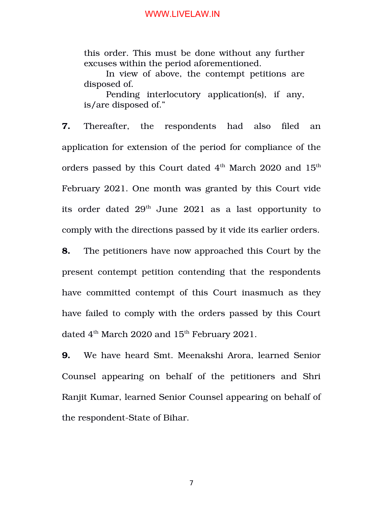this order. This must be done without any further excuses within the period aforementioned.

In view of above, the contempt petitions are disposed of.

Pending interlocutory application(s), if any, is/are disposed of."

**7.** Thereafter, the respondents had also filed an application for extension of the period for compliance of the orders passed by this Court dated  $4<sup>th</sup>$  March 2020 and  $15<sup>th</sup>$ February 2021. One month was granted by this Court vide its order dated  $29<sup>th</sup>$  June  $2021$  as a last opportunity to comply with the directions passed by it vide its earlier orders.

**8.** The petitioners have now approached this Court by the present contempt petition contending that the respondents have committed contempt of this Court inasmuch as they have failed to comply with the orders passed by this Court dated  $4<sup>th</sup>$  March 2020 and  $15<sup>th</sup>$  February 2021.

**9.** We have heard Smt. Meenakshi Arora, learned Senior Counsel appearing on behalf of the petitioners and Shri Ranjit Kumar, learned Senior Counsel appearing on behalf of the respondent-State of Bihar.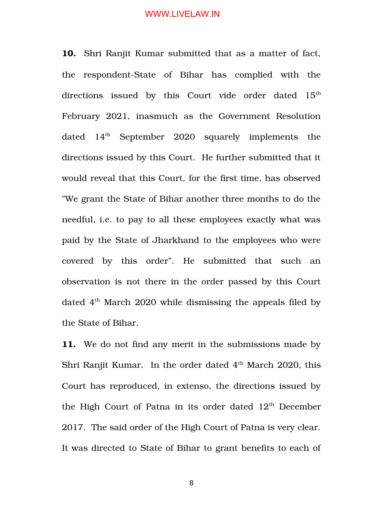**10.** Shri Ranjit Kumar submitted that as a matter of fact, the respondent-State of Bihar has complied with the directions issued by this Court vide order dated  $15^{\text{th}}$ February 2021, inasmuch as the Government Resolution dated  $14<sup>th</sup>$  September 2020 squarely implements the directions issued by this Court. He further submitted that it would reveal that this Court, for the first time, has observed "We grant the State of Bihar another three months to do the needful, i.e. to pay to all these employees exactly what was paid by the State of Jharkhand to the employees who were covered by this order". He submitted that such an observation is not there in the order passed by this Court dated  $4<sup>th</sup>$  March 2020 while dismissing the appeals filed by the State of Bihar.

**11.** We do not find any merit in the submissions made by Shri Ranjit Kumar. In the order dated  $4<sup>th</sup>$  March 2020, this Court has reproduced, in extenso, the directions issued by the High Court of Patna in its order dated  $12<sup>th</sup>$  December 2017. The said order of the High Court of Patna is very clear. It was directed to State of Bihar to grant benefits to each of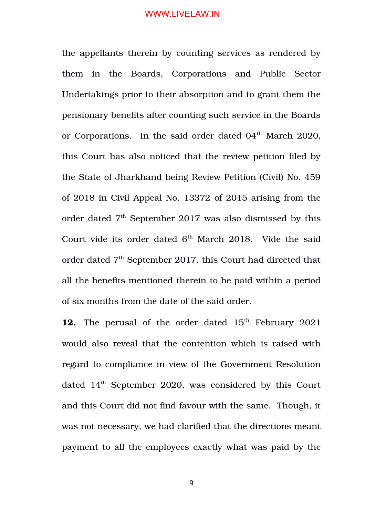the appellants therein by counting services as rendered by them in the Boards, Corporations and Public Sector Undertakings prior to their absorption and to grant them the pensionary benefits after counting such service in the Boards or Corporations. In the said order dated  $04<sup>th</sup>$  March 2020, this Court has also noticed that the review petition filed by the State of Jharkhand being Review Petition (Civil) No. 459 of 2018 in Civil Appeal No. 13372 of 2015 arising from the order dated  $7<sup>th</sup>$  September 2017 was also dismissed by this Court vide its order dated  $6<sup>th</sup>$  March 2018. Vide the said order dated 7<sup>th</sup> September 2017, this Court had directed that all the benefits mentioned therein to be paid within a period of six months from the date of the said order.

**12.** The perusal of the order dated 15<sup>th</sup> February 2021 would also reveal that the contention which is raised with regard to compliance in view of the Government Resolution dated 14<sup>th</sup> September 2020, was considered by this Court and this Court did not find favour with the same. Though, it was not necessary, we had clarified that the directions meant payment to all the employees exactly what was paid by the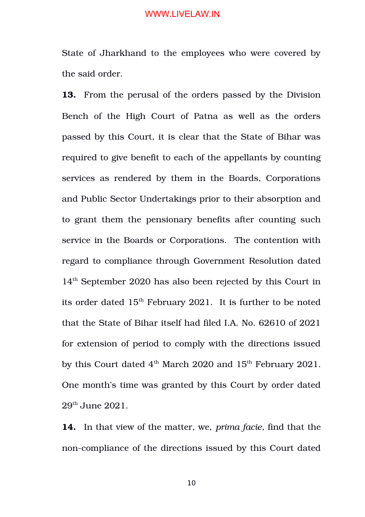State of Jharkhand to the employees who were covered by the said order.

**13.** From the perusal of the orders passed by the Division Bench of the High Court of Patna as well as the orders passed by this Court, it is clear that the State of Bihar was required to give benefit to each of the appellants by counting services as rendered by them in the Boards, Corporations and Public Sector Undertakings prior to their absorption and to grant them the pensionary benefits after counting such service in the Boards or Corporations. The contention with regard to compliance through Government Resolution dated 14th September 2020 has also been rejected by this Court in its order dated  $15<sup>th</sup>$  February 2021. It is further to be noted that the State of Bihar itself had filed I.A. No. 62610 of 2021 for extension of period to comply with the directions issued by this Court dated  $4<sup>th</sup>$  March 2020 and  $15<sup>th</sup>$  February 2021. One month's time was granted by this Court by order dated 29th June 2021.

**14.** In that view of the matter, we, *prima facie*, find that the non-compliance of the directions issued by this Court dated